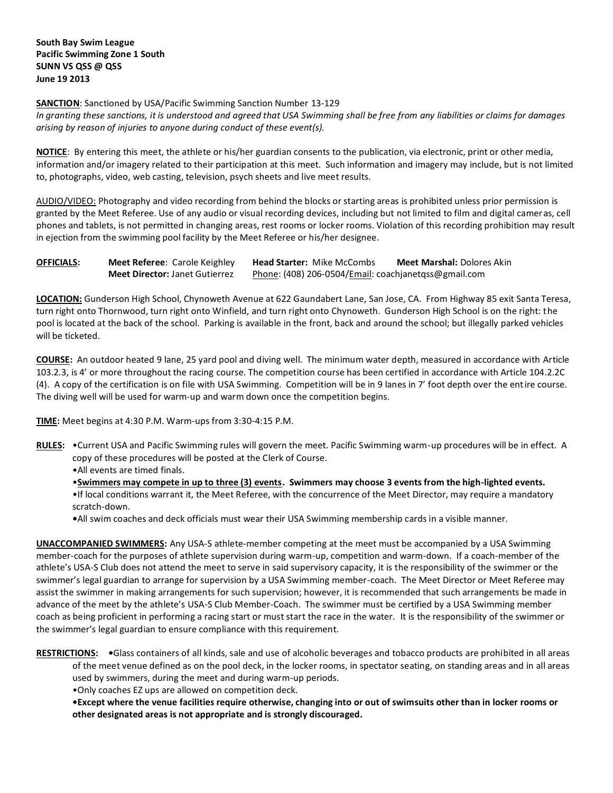**SANCTION**: Sanctioned by USA/Pacific Swimming Sanction Number 13-129

*In granting these sanctions, it is understood and agreed that USA Swimming shall be free from any liabilities or claims for damages arising by reason of injuries to anyone during conduct of these event(s).*

**NOTICE**: By entering this meet, the athlete or his/her guardian consents to the publication, via electronic, print or other media, information and/or imagery related to their participation at this meet. Such information and imagery may include, but is not limited to, photographs, video, web casting, television, psych sheets and live meet results.

AUDIO/VIDEO: Photography and video recording from behind the blocks or starting areas is prohibited unless prior permission is granted by the Meet Referee. Use of any audio or visual recording devices, including but not limited to film and digital cameras, cell phones and tablets, is not permitted in changing areas, rest rooms or locker rooms. Violation of this recording prohibition may result in ejection from the swimming pool facility by the Meet Referee or his/her designee.

| <b>OFFICIALS:</b> | <b>Meet Referee: Carole Keighley</b>  | <b>Head Starter: Mike McCombs</b>                    | <b>Meet Marshal: Dolores Akin</b> |
|-------------------|---------------------------------------|------------------------------------------------------|-----------------------------------|
|                   | <b>Meet Director: Janet Gutierrez</b> | Phone: (408) 206-0504/Email: coachjanetgss@gmail.com |                                   |

**LOCATION:** Gunderson High School, Chynoweth Avenue at 622 Gaundabert Lane, San Jose, CA. From Highway 85 exit Santa Teresa, turn right onto Thornwood, turn right onto Winfield, and turn right onto Chynoweth. Gunderson High School is on the right: the pool is located at the back of the school. Parking is available in the front, back and around the school; but illegally parked vehicles will be ticketed.

**COURSE:** An outdoor heated 9 lane, 25 yard pool and diving well. The minimum water depth, measured in accordance with Article 103.2.3, is 4' or more throughout the racing course. The competition course has been certified in accordance with Article 104.2.2C (4). A copy of the certification is on file with USA Swimming. Competition will be in 9 lanes in 7' foot depth over the entire course. The diving well will be used for warm-up and warm down once the competition begins.

**TIME:** Meet begins at 4:30 P.M. Warm-ups from 3:30-4:15 P.M.

- **RULES:** •Current USA and Pacific Swimming rules will govern the meet. Pacific Swimming warm-up procedures will be in effect. A copy of these procedures will be posted at the Clerk of Course.
	- •All events are timed finals.

•**Swimmers may compete in up to three (3) events. Swimmers may choose 3 events from the high-lighted events.** •If local conditions warrant it, the Meet Referee, with the concurrence of the Meet Director, may require a mandatory scratch-down.

**•**All swim coaches and deck officials must wear their USA Swimming membership cards in a visible manner.

**UNACCOMPANIED SWIMMERS:** Any USA-S athlete-member competing at the meet must be accompanied by a USA Swimming member-coach for the purposes of athlete supervision during warm-up, competition and warm-down. If a coach-member of the athlete's USA-S Club does not attend the meet to serve in said supervisory capacity, it is the responsibility of the swimmer or the swimmer's legal guardian to arrange for supervision by a USA Swimming member-coach. The Meet Director or Meet Referee may assist the swimmer in making arrangements for such supervision; however, it is recommended that such arrangements be made in advance of the meet by the athlete's USA-S Club Member-Coach. The swimmer must be certified by a USA Swimming member coach as being proficient in performing a racing start or must start the race in the water. It is the responsibility of the swimmer or the swimmer's legal guardian to ensure compliance with this requirement.

**RESTRICTIONS: •**Glass containers of all kinds, sale and use of alcoholic beverages and tobacco products are prohibited in all areas of the meet venue defined as on the pool deck, in the locker rooms, in spectator seating, on standing areas and in all areas used by swimmers, during the meet and during warm-up periods.

•Only coaches EZ ups are allowed on competition deck.

**•Except where the venue facilities require otherwise, changing into or out of swimsuits other than in locker rooms or other designated areas is not appropriate and is strongly discouraged.**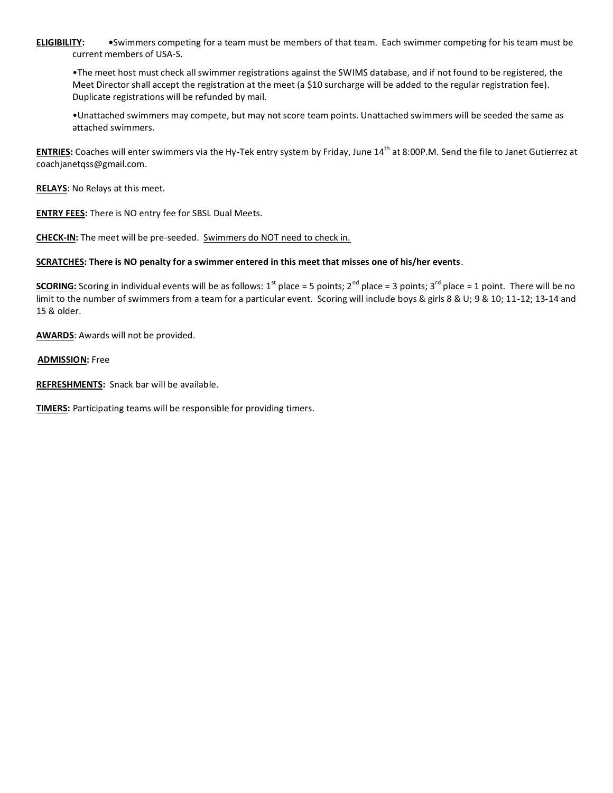**ELIGIBILITY: •**Swimmers competing for a team must be members of that team. Each swimmer competing for his team must be current members of USA-S.

•The meet host must check all swimmer registrations against the SWIMS database, and if not found to be registered, the Meet Director shall accept the registration at the meet (a \$10 surcharge will be added to the regular registration fee). Duplicate registrations will be refunded by mail.

•Unattached swimmers may compete, but may not score team points. Unattached swimmers will be seeded the same as attached swimmers.

**ENTRIES:** Coaches will enter swimmers via the Hy-Tek entry system by Friday, June 14<sup>th</sup> at 8:00P.M. Send the file to Janet Gutierrez at coachjanetqss@gmail.com.

**RELAYS**: No Relays at this meet.

**ENTRY FEES:** There is NO entry fee for SBSL Dual Meets.

**CHECK-IN:** The meet will be pre-seeded. Swimmers do NOT need to check in.

## **SCRATCHES: There is NO penalty for a swimmer entered in this meet that misses one of his/her events**.

**SCORING:** Scoring in individual events will be as follows: 1<sup>st</sup> place = 5 points; 2<sup>nd</sup> place = 3 points; 3<sup>rd</sup> place = 1 point. There will be no limit to the number of swimmers from a team for a particular event. Scoring will include boys & girls 8 & U; 9 & 10; 11-12; 13-14 and 15 & older.

**AWARDS**: Awards will not be provided.

## **ADMISSION:** Free

**REFRESHMENTS:** Snack bar will be available.

**TIMERS:** Participating teams will be responsible for providing timers.